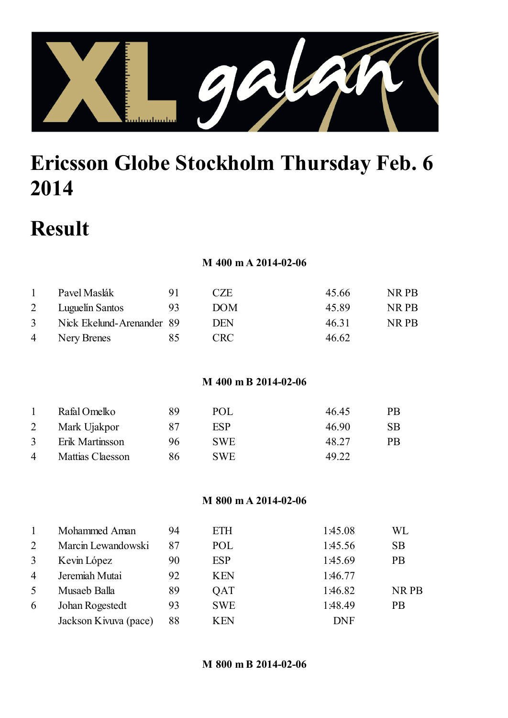

# Ericsson Globe Stockholm Thursday Feb. 6

# Result

#### M 400 m A 2014-02-06

|   | Pavel Maslák              |    | CZE.       | 45.66 | NR PB |
|---|---------------------------|----|------------|-------|-------|
| 2 | Luguelín Santos           | 93 | <b>DOM</b> | 45.89 | NR PB |
| 3 | Nick Ekelund-Arenander 89 |    | DEN        | 46.31 | NR PB |
| 4 | Nery Brenes               | X5 | <b>CRC</b> | 46.62 |       |

M 400 m B 2014-02-06

|                | Rafal Omelko     | 89 | P()L       | 46.45 | <b>PR</b> |
|----------------|------------------|----|------------|-------|-----------|
| 2              | Mark Ujakpor     | 87 | ESP        | 46.90 | <b>SB</b> |
| 3              | Erik Martinsson  | 96 | SWE.       | 48.27 | <b>PB</b> |
| $\overline{4}$ | Mattias Claesson | 86 | <b>SWE</b> | 49.22 |           |

M 800 m A 2014-02-06

|                | Mohammed Aman         | 94 | <b>ETH</b> | 1:45.08    | WL        |
|----------------|-----------------------|----|------------|------------|-----------|
| 2              | Marcin Lewandowski    | 87 | POL        | 1:45.56    | <b>SB</b> |
| 3              | Kevin López           | 90 | <b>ESP</b> | 1:45.69    | <b>PB</b> |
| $\overline{4}$ | Jeremiah Mutai        | 92 | <b>KEN</b> | 1:46.77    |           |
| 5              | Musaeb Balla          | 89 | QAT        | 1:46.82    | NR PB     |
| 6              | Johan Rogestedt       | 93 | <b>SWE</b> | 1:48.49    | <b>PB</b> |
|                | Jackson Kivuva (pace) | 88 | <b>KEN</b> | <b>DNF</b> |           |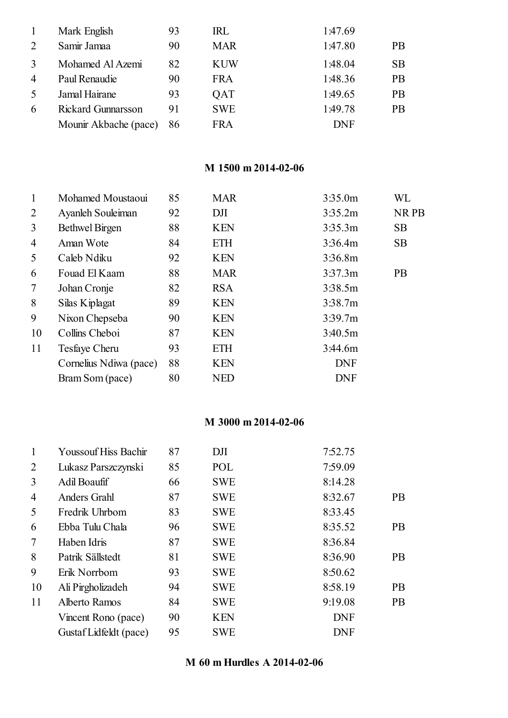|                | Mark English              | 93 | IRL        | 1:47.69    |           |
|----------------|---------------------------|----|------------|------------|-----------|
| 2              | Samir Jamaa               | 90 | <b>MAR</b> | 1:47.80    | <b>PB</b> |
| 3              | Mohamed Al Azemi          | 82 | <b>KUW</b> | 1:48.04    | <b>SB</b> |
| $\overline{4}$ | Paul Renaudie             | 90 | <b>FRA</b> | 1:48.36    | <b>PB</b> |
| 5              | Jamal Hairane             | 93 | QAT        | 1:49.65    | <b>PB</b> |
| 6              | <b>Rickard Gunnarsson</b> | 91 | <b>SWE</b> | 1:49.78    | <b>PB</b> |
|                | Mounir Akbache (pace)     | 86 | <b>FRA</b> | <b>DNF</b> |           |

### M 1500 m 2014-02-06

| $\mathbf{1}$ | Mohamed Moustaoui      | 85 | <b>MAR</b> | 3:35.0m    | WL        |
|--------------|------------------------|----|------------|------------|-----------|
| 2            | Ayanleh Souleiman      | 92 | DJI        | 3:35.2m    | NR PB     |
| 3            | <b>Bethwel Birgen</b>  | 88 | <b>KEN</b> | 3:35.3m    | <b>SB</b> |
| 4            | Aman Wote              | 84 | ETH        | 3:36.4m    | <b>SB</b> |
| 5            | Caleb Ndiku            | 92 | <b>KEN</b> | 3:36.8m    |           |
| 6            | Fouad El Kaam          | 88 | <b>MAR</b> | 3:37.3m    | <b>PB</b> |
| 7            | Johan Cronje           | 82 | <b>RSA</b> | 3:38.5m    |           |
| 8            | Silas Kiplagat         | 89 | <b>KEN</b> | 3:38.7m    |           |
| 9            | Nixon Chepseba         | 90 | <b>KEN</b> | 3:39.7m    |           |
| 10           | Collins Cheboi         | 87 | <b>KEN</b> | 3:40.5m    |           |
| 11           | Tesfaye Cheru          | 93 | <b>ETH</b> | 3:44.6m    |           |
|              | Cornelius Ndiwa (pace) | 88 | <b>KEN</b> | <b>DNF</b> |           |
|              | Bram Som (pace)        | 80 | <b>NED</b> | <b>DNF</b> |           |

### M 3000 m 2014-02-06

| 1              | <b>Youssouf Hiss Bachir</b> | 87 | DJI        | 7:52.75    |           |
|----------------|-----------------------------|----|------------|------------|-----------|
| 2              | Lukasz Parszczynski         | 85 | POL        | 7:59.09    |           |
| 3              | Adil Boaufif                | 66 | <b>SWE</b> | 8:14.28    |           |
| $\overline{4}$ | <b>Anders Grahl</b>         | 87 | <b>SWE</b> | 8:32.67    | <b>PB</b> |
| 5              | Fredrik Uhrbom              | 83 | <b>SWE</b> | 8:33.45    |           |
| 6              | Ebba Tulu Chala             | 96 | <b>SWE</b> | 8:35.52    | <b>PB</b> |
| 7              | Haben Idris                 | 87 | <b>SWE</b> | 8:36.84    |           |
| 8              | Patrik Sällstedt            | 81 | <b>SWE</b> | 8:36.90    | <b>PB</b> |
| 9              | Erik Norrbom                | 93 | <b>SWE</b> | 8:50.62    |           |
| 10             | Ali Pirgholizadeh           | 94 | <b>SWE</b> | 8:58.19    | <b>PB</b> |
| 11             | Alberto Ramos               | 84 | <b>SWE</b> | 9:19.08    | <b>PB</b> |
|                | Vincent Rono (pace)         | 90 | <b>KEN</b> | <b>DNF</b> |           |
|                | Gustaf Lidfeldt (pace)      | 95 | <b>SWE</b> | <b>DNF</b> |           |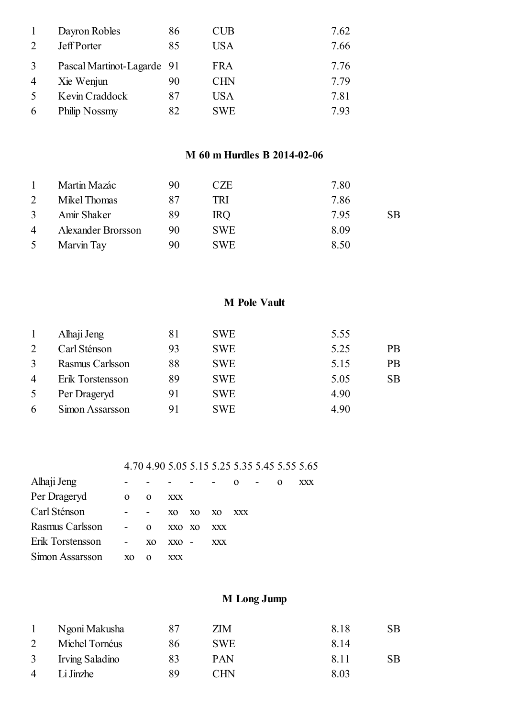|                | Dayron Robles              | 86 | CUB        | 7.62 |
|----------------|----------------------------|----|------------|------|
| 2              | <b>Jeff Porter</b>         | 85 | <b>USA</b> | 7.66 |
| 3              | Pascal Martinot-Lagarde 91 |    | <b>FRA</b> | 7.76 |
| $\overline{4}$ | Xie Wenjun                 | 90 | <b>CHN</b> | 7.79 |
| $\overline{5}$ | Kevin Craddock             | 87 | USA        | 7.81 |
| 6              | Philip Nossmy              | 82 | <b>SWE</b> | 7.93 |

#### M 60 m Hurdles B 2014-02-06

|                | Martin Mazác       | 90 | CZE        | 7.80 |           |
|----------------|--------------------|----|------------|------|-----------|
| 2              | Mikel Thomas       | 87 | TRI        | 7.86 |           |
| $\mathfrak{Z}$ | Amir Shaker        | 89 | <b>IRQ</b> | 7.95 | <b>SB</b> |
| $\overline{4}$ | Alexander Brorsson | 90 | <b>SWE</b> | 8.09 |           |
| 5 <sup>5</sup> | Marvin Tay         | 90 | <b>SWE</b> | 8.50 |           |

#### M Pole Vault

|                | Alhaji Jeng      | 81 | <b>SWE</b> | 5.55 |           |
|----------------|------------------|----|------------|------|-----------|
| 2              | Carl Sténson     | 93 | <b>SWE</b> | 5.25 | <b>PB</b> |
| 3              | Rasmus Carlsson  | 88 | <b>SWE</b> | 5.15 | <b>PB</b> |
| $\overline{4}$ | Erik Torstensson | 89 | <b>SWE</b> | 5.05 | <b>SB</b> |
| 5              | Per Drageryd     | 91 | <b>SWE</b> | 4.90 |           |
| 6              | Simon Assarsson  | 91 | <b>SWE</b> | 4.90 |           |

#### 4.70 4.90 5.05 5.15 5.25 5.35 5.45 5.55 5.65

| Alhaji Jeng      |            |          |            |                |                | $\Omega$ | $\sim 100$ m $^{-1}$ | XXX. |
|------------------|------------|----------|------------|----------------|----------------|----------|----------------------|------|
| Per Drageryd     | $\Omega$   | $\Omega$ | <b>XXX</b> |                |                |          |                      |      |
| Carl Sténson     |            | $\sim$   | XO.        | X <sub>O</sub> | X <sub>0</sub> | XXX      |                      |      |
| Rasmus Carlsson  | $\sim 100$ | $\Omega$ | XXO XO     |                | <b>XXX</b>     |          |                      |      |
| Erik Torstensson | $\sim$     | XO.      | XXO        | $\sim$         | <b>XXX</b>     |          |                      |      |
| Simon Assarsson  | XO.        | $\Omega$ | XXX        |                |                |          |                      |      |

## M Long Jump

|                | Ngoni Makusha     | 87 | ZIM        | 8.18  | <b>SB</b> |
|----------------|-------------------|----|------------|-------|-----------|
|                | Michel Tornéus    | 86 | <b>SWE</b> | 8.14  |           |
|                | 3 Irving Saladino | 83 | PAN        | -8.11 | <b>SB</b> |
| $\overline{4}$ | Li Jinzhe         | 89 | <b>CHN</b> | 8.03  |           |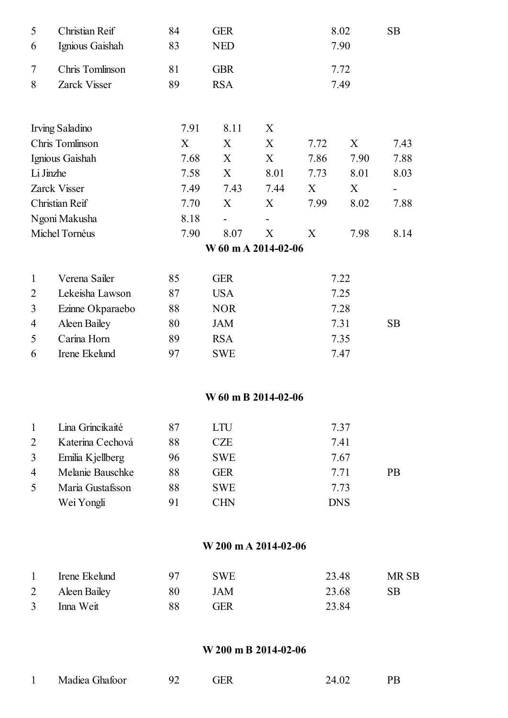| 5              | Christian Reif         | 84   | <b>GER</b>           |      |      | 8.02       | <b>SB</b> |
|----------------|------------------------|------|----------------------|------|------|------------|-----------|
| 6              | Ignious Gaishah        | 83   | <b>NED</b>           |      |      | 7.90       |           |
| 7              | Chris Tomlinson        | 81   | <b>GBR</b>           |      |      | 7.72       |           |
| 8              | Zarck Visser           | 89   | <b>RSA</b>           |      |      | 7.49       |           |
|                | <b>Irving Saladino</b> | 7.91 | 8.11                 | X    |      |            |           |
|                | Chris Tomlinson        | X    | X                    | X    | 7.72 | X          | 7.43      |
|                | Ignious Gaishah        | 7.68 | X                    | X    | 7.86 | 7.90       | 7.88      |
|                | Li Jinzhe              | 7.58 | X                    | 8.01 | 7.73 | 8.01       | 8.03      |
|                | Zarck Visser           | 7.49 | 7.43                 | 7.44 | X    | X          |           |
|                | Christian Reif         | 7.70 | X                    | X    | 7.99 | 8.02       | 7.88      |
|                | Ngoni Makusha          | 8.18 |                      |      |      |            |           |
|                | Michel Tornéus         | 7.90 | 8.07                 | X    | X    | 7.98       | 8.14      |
|                |                        |      | W 60 m A 2014-02-06  |      |      |            |           |
| $\mathbf{1}$   | Verena Sailer          | 85   | <b>GER</b>           |      |      | 7.22       |           |
| $\overline{2}$ | Lekeisha Lawson        | 87   | <b>USA</b>           |      |      | 7.25       |           |
| 3              | Ezinne Okparaebo       | 88   | <b>NOR</b>           |      |      | 7.28       |           |
| 4              | Aleen Bailey           | 80   | <b>JAM</b>           |      |      | 7.31       | <b>SB</b> |
| 5              | Carina Horn            | 89   | <b>RSA</b>           |      |      | 7.35       |           |
| 6              | Irene Ekelund          | 97   | <b>SWE</b>           |      |      | 7.47       |           |
|                |                        |      | W 60 m B 2014-02-06  |      |      |            |           |
| $\mathbf{1}$   | Lina Grincikaité       | 87   | <b>LTU</b>           |      |      | 7.37       |           |
| $\overline{2}$ | Katerina Cechová       | 88   | <b>CZE</b>           |      |      | 7.41       |           |
| 3              | Emilia Kjellberg       | 96   | <b>SWE</b>           |      |      | 7.67       |           |
| 4              | Melanie Bauschke       | 88   | <b>GER</b>           |      |      | 7.71       | <b>PB</b> |
| 5              | Maria Gustafsson       | 88   | <b>SWE</b>           |      |      | 7.73       |           |
|                | Wei Yongli             | 91   | <b>CHN</b>           |      |      | <b>DNS</b> |           |
|                |                        |      | W 200 m A 2014-02-06 |      |      |            |           |
|                |                        |      |                      |      |      |            |           |

| Irene Ekelund  |    | <b>SWE</b> | 23.48 | MR SB |
|----------------|----|------------|-------|-------|
| 2 Aleen Bailey | 80 | JAM        | 23.68 | SB.   |
| Inna Weit      | 88 | GER        | 23.84 |       |

#### W 200 m B 2014-02-06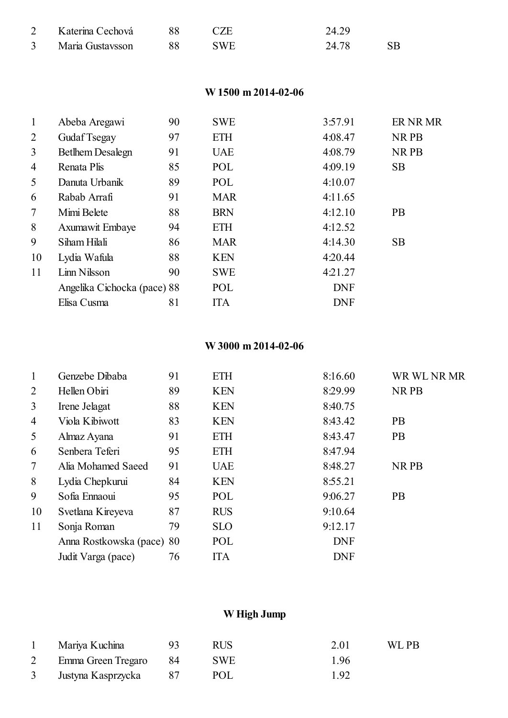| Katerina Cechová | <b>CZE</b> | 24.29 |  |
|------------------|------------|-------|--|
| Maria Gustavsson | <b>SWE</b> | 24.78 |  |

#### W 1500 m 2014-02-06

| $\mathbf{1}$ | Abeba Aregawi               | 90 | <b>SWE</b> | 3:57.91    | ER NR MR  |
|--------------|-----------------------------|----|------------|------------|-----------|
| 2            | Gudaf Tsegay                | 97 | <b>ETH</b> | 4:08.47    | NR PB     |
| 3            | <b>Bethem Desalegn</b>      | 91 | <b>UAE</b> | 4:08.79    | NR PB     |
| 4            | Renata Plis                 | 85 | POL        | 4:09.19    | <b>SB</b> |
| 5            | Danuta Urbanik              | 89 | POL        | 4:10.07    |           |
| 6            | Rabab Arrafi                | 91 | <b>MAR</b> | 4:11.65    |           |
| 7            | Mimi Belete                 | 88 | <b>BRN</b> | 4:12.10    | <b>PB</b> |
| 8            | <b>Axumawit Embaye</b>      | 94 | <b>ETH</b> | 4:12.52    |           |
| 9            | Siham Hilali                | 86 | <b>MAR</b> | 4:14.30    | <b>SB</b> |
| 10           | Lydia Wafula                | 88 | <b>KEN</b> | 4:20.44    |           |
| 11           | Linn Nilsson                | 90 | <b>SWE</b> | 4:21.27    |           |
|              | Angelika Cichocka (pace) 88 |    | POL        | <b>DNF</b> |           |
|              | Elisa Cusma                 | 81 | <b>ITA</b> | <b>DNF</b> |           |

#### W 3000 m 2014-02-06

| $\mathbf{1}$   | Genzebe Dibaba            | 91 | <b>ETH</b> | 8:16.60    | WR WL NR MR |
|----------------|---------------------------|----|------------|------------|-------------|
| 2              | Hellen Obiri              | 89 | <b>KEN</b> | 8:29.99    | NR PB       |
| 3              | Irene Jelagat             | 88 | <b>KEN</b> | 8:40.75    |             |
| $\overline{4}$ | Viola Kibiwott            | 83 | <b>KEN</b> | 8:43.42    | <b>PB</b>   |
| 5              | Almaz Ayana               | 91 | <b>ETH</b> | 8:43.47    | <b>PB</b>   |
| 6              | Senbera Teferi            | 95 | <b>ETH</b> | 8:47.94    |             |
| $\tau$         | Alia Mohamed Saeed        | 91 | <b>UAE</b> | 8:48.27    | NR PB       |
| 8              | Lydia Chepkurui           | 84 | <b>KEN</b> | 8:55.21    |             |
| 9              | Sofia Ennaoui             | 95 | POL        | 9:06.27    | <b>PB</b>   |
| 10             | Svetlana Kireyeva         | 87 | <b>RUS</b> | 9:10.64    |             |
| 11             | Sonja Roman               | 79 | <b>SLO</b> | 9:12.17    |             |
|                | Anna Rostkowska (pace) 80 |    | POL        | <b>DNF</b> |             |
|                | Judit Varga (pace)        | 76 | <b>ITA</b> | <b>DNF</b> |             |

## W High Jump

| Mariya Kuchina          | RUS.       | 2.01 | WL PB |
|-------------------------|------------|------|-------|
| Emma Green Tregaro 84   | <b>SWE</b> | 1.96 |       |
| 3 Justyna Kasprzycka 87 | POL        | 1.92 |       |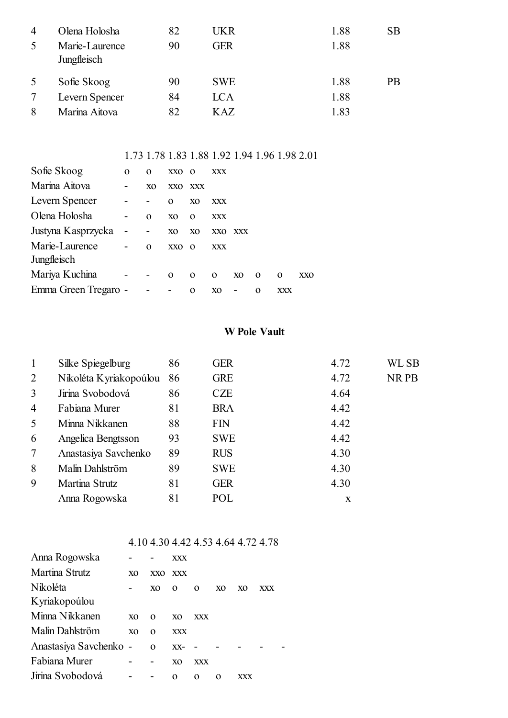| 4 | Olena Holosha                 | 82 | UKR        | 1.88 | <b>SB</b> |
|---|-------------------------------|----|------------|------|-----------|
| 5 | Marie-Laurence<br>Jungfleisch | 90 | GER        | 1.88 |           |
| 5 | Sofie Skoog                   | 90 | <b>SWE</b> | 1.88 | <b>PB</b> |
|   | Levern Spencer                | 84 | <b>LCA</b> | 1.88 |           |
| 8 | Marina Aitova                 | 82 | KAZ        | 1.83 |           |

#### 1.73 1.78 1.83 1.88 1.92 1.94 1.96 1.98 2.01

| Sofie Skoog          | 0 | 0                        | XXO             | $\mathbf{0}$   | XXX            |                |          |          |            |
|----------------------|---|--------------------------|-----------------|----------------|----------------|----------------|----------|----------|------------|
| Marina Aitova        |   | XO                       | XXO             | <b>XXX</b>     |                |                |          |          |            |
| Levern Spencer       |   | ۰                        | $\Omega$        | X <sub>0</sub> | XXX            |                |          |          |            |
| Olena Holosha        |   | $\Omega$                 | XQ              | $\Omega$       | <b>XXX</b>     |                |          |          |            |
| Justyna Kasprzycka   |   | $\overline{\phantom{a}}$ | X <sub>O</sub>  | X <sub>O</sub> | <b>XXO</b>     | XXX            |          |          |            |
| Marie-Laurence       |   | $\Omega$                 | XX <sub>O</sub> | $\Omega$       | XXX            |                |          |          |            |
| Jungfleisch          |   |                          |                 |                |                |                |          |          |            |
| Mariya Kuchina       |   | $\overline{\phantom{a}}$ | $\Omega$        | $\Omega$       | $\Omega$       | X <sub>O</sub> | $\Omega$ | $\Omega$ | <b>XXO</b> |
| Emma Green Tregaro - |   |                          |                 | O              | X <sub>O</sub> |                | $\Omega$ | XXX      |            |

#### W Pole Vault

| Silke Spiegelburg      | 86 | <b>GER</b> | 4.72 | <b>WL SB</b> |
|------------------------|----|------------|------|--------------|
| Nikoléta Kyriakopoúlou | 86 | <b>GRE</b> | 4.72 | NR PB        |
| Jirina Svobodová       | 86 | <b>CZE</b> | 4.64 |              |
| Fabiana Murer          | 81 | <b>BRA</b> | 4.42 |              |
| Minna Nikkanen         | 88 | <b>FIN</b> | 4.42 |              |
| Angelica Bengtsson     | 93 | <b>SWE</b> | 4.42 |              |
| Anastasiya Savchenko   | 89 | <b>RUS</b> | 4.30 |              |
| Malin Dahlström        | 89 | <b>SWE</b> | 4.30 |              |
| Martina Strutz         | 81 | <b>GER</b> | 4.30 |              |
| Anna Rogowska          | 81 | POL        | X    |              |
|                        |    |            |      |              |

#### 4.10 4.30 4.42 4.53 4.64 4.72 4.78

| Anna Rogowska          |                |                | XXX            |            |    |    |     |  |
|------------------------|----------------|----------------|----------------|------------|----|----|-----|--|
| Martina Strutz         | XQ             | XXO.           | XXX            |            |    |    |     |  |
| Nikoléta               |                | X <sub>0</sub> | $\Omega$       | $\Omega$   | XQ | XO | XXX |  |
| Kyriakopoúlou          |                |                |                |            |    |    |     |  |
| Minna Nikkanen         | X <sub>0</sub> | $\Omega$       | X <sub>0</sub> | <b>XXX</b> |    |    |     |  |
| Malin Dahlström        | X <sub>0</sub> | $\Omega$       | <b>XXX</b>     |            |    |    |     |  |
| Anastasiya Savchenko - |                | $\Omega$       | $XX-$          |            |    |    |     |  |
| Fabiana Murer          |                |                | XO             | <b>XXX</b> |    |    |     |  |
| Jirina Svobodová       |                |                | 0              | 0          | Ω  |    |     |  |